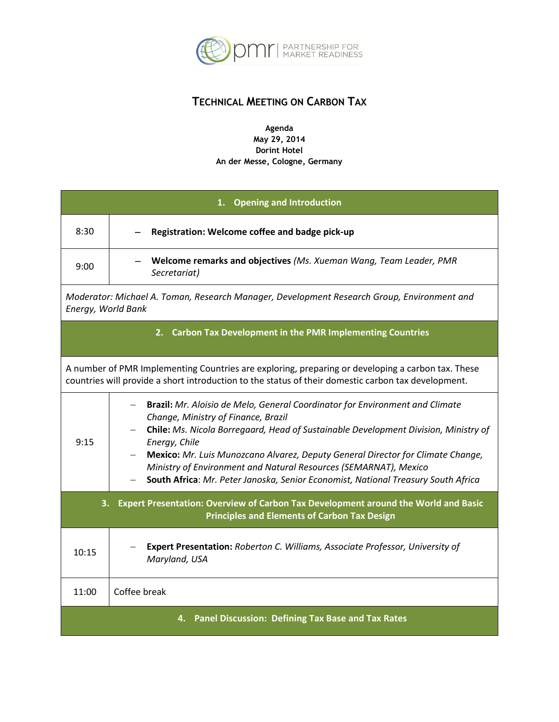

## **TECHNICAL MEETING ON CARBON TAX**

**Agenda May 29, 2014 Dorint Hotel An der Messe, Cologne, Germany**

| 1. Opening and Introduction                                                                                                                                                                              |                                                                                                                                                                                                                                                                                                                                                                                                                                                                         |  |
|----------------------------------------------------------------------------------------------------------------------------------------------------------------------------------------------------------|-------------------------------------------------------------------------------------------------------------------------------------------------------------------------------------------------------------------------------------------------------------------------------------------------------------------------------------------------------------------------------------------------------------------------------------------------------------------------|--|
| 8:30                                                                                                                                                                                                     | Registration: Welcome coffee and badge pick-up                                                                                                                                                                                                                                                                                                                                                                                                                          |  |
| 9:00                                                                                                                                                                                                     | Welcome remarks and objectives (Ms. Xueman Wang, Team Leader, PMR<br>Secretariat)                                                                                                                                                                                                                                                                                                                                                                                       |  |
| Moderator: Michael A. Toman, Research Manager, Development Research Group, Environment and<br>Energy, World Bank                                                                                         |                                                                                                                                                                                                                                                                                                                                                                                                                                                                         |  |
| 2. Carbon Tax Development in the PMR Implementing Countries                                                                                                                                              |                                                                                                                                                                                                                                                                                                                                                                                                                                                                         |  |
| A number of PMR Implementing Countries are exploring, preparing or developing a carbon tax. These<br>countries will provide a short introduction to the status of their domestic carbon tax development. |                                                                                                                                                                                                                                                                                                                                                                                                                                                                         |  |
| 9:15                                                                                                                                                                                                     | Brazil: Mr. Aloisio de Melo, General Coordinator for Environment and Climate<br>Change, Ministry of Finance, Brazil<br>Chile: Ms. Nicola Borregaard, Head of Sustainable Development Division, Ministry of<br>Energy, Chile<br>Mexico: Mr. Luis Munozcano Alvarez, Deputy General Director for Climate Change,<br>Ministry of Environment and Natural Resources (SEMARNAT), Mexico<br>South Africa: Mr. Peter Janoska, Senior Economist, National Treasury South Africa |  |
| Expert Presentation: Overview of Carbon Tax Development around the World and Basic<br>З.<br><b>Principles and Elements of Carbon Tax Design</b>                                                          |                                                                                                                                                                                                                                                                                                                                                                                                                                                                         |  |
| 10:15                                                                                                                                                                                                    | Expert Presentation: Roberton C. Williams, Associate Professor, University of<br>Maryland, USA                                                                                                                                                                                                                                                                                                                                                                          |  |
| 11:00                                                                                                                                                                                                    | Coffee break                                                                                                                                                                                                                                                                                                                                                                                                                                                            |  |
| 4. Panel Discussion: Defining Tax Base and Tax Rates                                                                                                                                                     |                                                                                                                                                                                                                                                                                                                                                                                                                                                                         |  |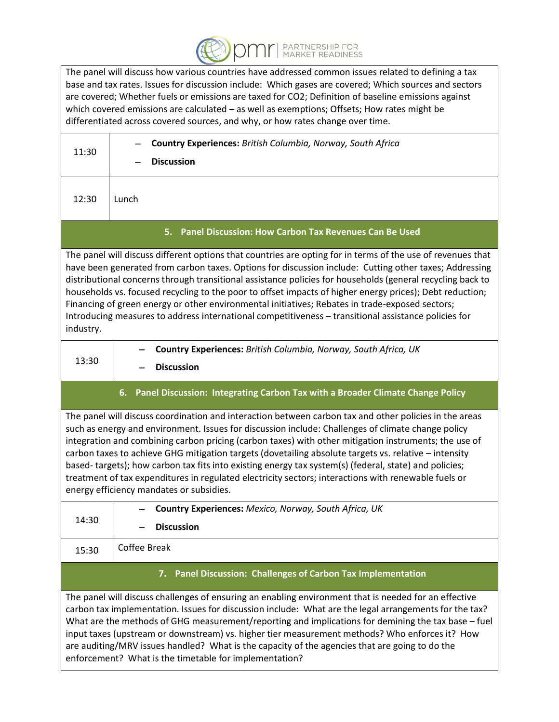

The panel will discuss how various countries have addressed common issues related to defining a tax base and tax rates. Issues for discussion include: Which gases are covered; Which sources and sectors are covered; Whether fuels or emissions are taxed for CO2; Definition of baseline emissions against which covered emissions are calculated – as well as exemptions; Offsets; How rates might be differentiated across covered sources, and why, or how rates change over time.

| 11:30                                                                                                                                                                                                                                                                                                                                                                                                                                                                                                                                                                                                                                                                                       | Country Experiences: British Columbia, Norway, South Africa<br><b>Discussion</b>                                                                                                                                                                                                                                                                                                                                         |  |
|---------------------------------------------------------------------------------------------------------------------------------------------------------------------------------------------------------------------------------------------------------------------------------------------------------------------------------------------------------------------------------------------------------------------------------------------------------------------------------------------------------------------------------------------------------------------------------------------------------------------------------------------------------------------------------------------|--------------------------------------------------------------------------------------------------------------------------------------------------------------------------------------------------------------------------------------------------------------------------------------------------------------------------------------------------------------------------------------------------------------------------|--|
| 12:30                                                                                                                                                                                                                                                                                                                                                                                                                                                                                                                                                                                                                                                                                       | Lunch                                                                                                                                                                                                                                                                                                                                                                                                                    |  |
| 5. Panel Discussion: How Carbon Tax Revenues Can Be Used                                                                                                                                                                                                                                                                                                                                                                                                                                                                                                                                                                                                                                    |                                                                                                                                                                                                                                                                                                                                                                                                                          |  |
| The panel will discuss different options that countries are opting for in terms of the use of revenues that<br>have been generated from carbon taxes. Options for discussion include: Cutting other taxes; Addressing<br>distributional concerns through transitional assistance policies for households (general recycling back to<br>households vs. focused recycling to the poor to offset impacts of higher energy prices); Debt reduction;<br>Financing of green energy or other environmental initiatives; Rebates in trade-exposed sectors;<br>Introducing measures to address international competitiveness - transitional assistance policies for<br>industry.                     |                                                                                                                                                                                                                                                                                                                                                                                                                          |  |
| 13:30                                                                                                                                                                                                                                                                                                                                                                                                                                                                                                                                                                                                                                                                                       | Country Experiences: British Columbia, Norway, South Africa, UK<br><b>Discussion</b>                                                                                                                                                                                                                                                                                                                                     |  |
| Panel Discussion: Integrating Carbon Tax with a Broader Climate Change Policy<br>6.                                                                                                                                                                                                                                                                                                                                                                                                                                                                                                                                                                                                         |                                                                                                                                                                                                                                                                                                                                                                                                                          |  |
| The panel will discuss coordination and interaction between carbon tax and other policies in the areas<br>such as energy and environment. Issues for discussion include: Challenges of climate change policy<br>integration and combining carbon pricing (carbon taxes) with other mitigation instruments; the use of<br>carbon taxes to achieve GHG mitigation targets (dovetailing absolute targets vs. relative - intensity<br>based-targets); how carbon tax fits into existing energy tax system(s) (federal, state) and policies;<br>treatment of tax expenditures in regulated electricity sectors; interactions with renewable fuels or<br>energy efficiency mandates or subsidies. |                                                                                                                                                                                                                                                                                                                                                                                                                          |  |
| 14:30                                                                                                                                                                                                                                                                                                                                                                                                                                                                                                                                                                                                                                                                                       | Country Experiences: Mexico, Norway, South Africa, UK                                                                                                                                                                                                                                                                                                                                                                    |  |
|                                                                                                                                                                                                                                                                                                                                                                                                                                                                                                                                                                                                                                                                                             | <b>Discussion</b>                                                                                                                                                                                                                                                                                                                                                                                                        |  |
| 15:30                                                                                                                                                                                                                                                                                                                                                                                                                                                                                                                                                                                                                                                                                       | <b>Coffee Break</b>                                                                                                                                                                                                                                                                                                                                                                                                      |  |
| 7. Panel Discussion: Challenges of Carbon Tax Implementation                                                                                                                                                                                                                                                                                                                                                                                                                                                                                                                                                                                                                                |                                                                                                                                                                                                                                                                                                                                                                                                                          |  |
|                                                                                                                                                                                                                                                                                                                                                                                                                                                                                                                                                                                                                                                                                             | The panel will discuss challenges of ensuring an enabling environment that is needed for an effective<br>carbon tax implementation. Issues for discussion include: What are the legal arrangements for the tax?<br>What are the methods of GHG measurement/reporting and implications for demining the tax base - fuel<br>input taxes (upstream or downstream) vs. higher tier measurement methods? Who enforces it? How |  |

are auditing/MRV issues handled? What is the capacity of the agencies that are going to do the

enforcement? What is the timetable for implementation?